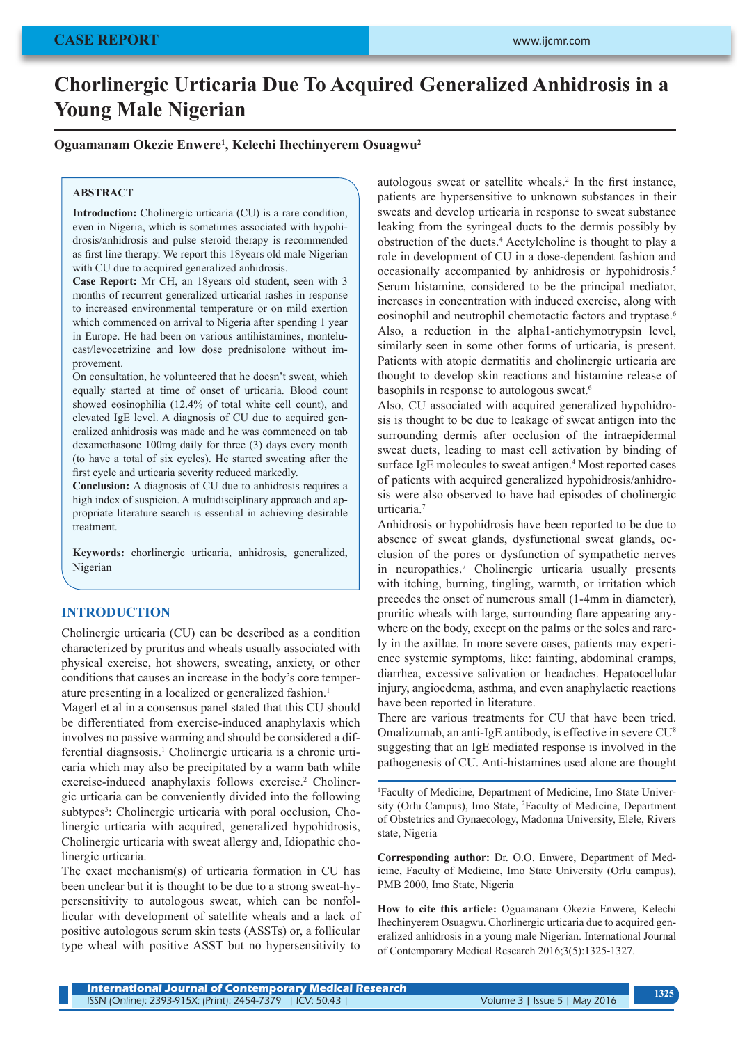# **Chorlinergic Urticaria Due To Acquired Generalized Anhidrosis in a Young Male Nigerian**

**Oguamanam Okezie Enwere1 , Kelechi Ihechinyerem Osuagwu2**

#### **ABSTRACT**

**Introduction:** Cholinergic urticaria (CU) is a rare condition. even in Nigeria, which is sometimes associated with hypohidrosis/anhidrosis and pulse steroid therapy is recommended as first line therapy. We report this 18years old male Nigerian with CU due to acquired generalized anhidrosis.

**Case Report:** Mr CH, an 18years old student, seen with 3 months of recurrent generalized urticarial rashes in response to increased environmental temperature or on mild exertion which commenced on arrival to Nigeria after spending 1 year in Europe. He had been on various antihistamines, montelucast/levocetrizine and low dose prednisolone without improvement.

On consultation, he volunteered that he doesn't sweat, which equally started at time of onset of urticaria. Blood count showed eosinophilia (12.4% of total white cell count), and elevated IgE level. A diagnosis of CU due to acquired generalized anhidrosis was made and he was commenced on tab dexamethasone 100mg daily for three (3) days every month (to have a total of six cycles). He started sweating after the first cycle and urticaria severity reduced markedly.

**Conclusion:** A diagnosis of CU due to anhidrosis requires a high index of suspicion. A multidisciplinary approach and appropriate literature search is essential in achieving desirable treatment.

**Keywords:** chorlinergic urticaria, anhidrosis, generalized, Nigerian

#### **INTRODUCTION**

Cholinergic urticaria (CU) can be described as a condition characterized by pruritus and wheals usually associated with physical exercise, hot showers, sweating, anxiety, or other conditions that causes an increase in the body's core temperature presenting in a localized or generalized fashion.<sup>1</sup>

Magerl et al in a consensus panel stated that this CU should be differentiated from exercise-induced anaphylaxis which involves no passive warming and should be considered a differential diagnsosis.<sup>1</sup> Cholinergic urticaria is a chronic urticaria which may also be precipitated by a warm bath while exercise-induced anaphylaxis follows exercise.<sup>2</sup> Cholinergic urticaria can be conveniently divided into the following subtypes<sup>3</sup>: Cholinergic urticaria with poral occlusion, Cholinergic urticaria with acquired, generalized hypohidrosis, Cholinergic urticaria with sweat allergy and, Idiopathic cholinergic urticaria.

The exact mechanism(s) of urticaria formation in CU has been unclear but it is thought to be due to a strong sweat-hypersensitivity to autologous sweat, which can be nonfollicular with development of satellite wheals and a lack of positive autologous serum skin tests (ASSTs) or, a follicular type wheal with positive ASST but no hypersensitivity to

autologous sweat or satellite wheals.<sup>2</sup> In the first instance, patients are hypersensitive to unknown substances in their sweats and develop urticaria in response to sweat substance leaking from the syringeal ducts to the dermis possibly by obstruction of the ducts.4 Acetylcholine is thought to play a role in development of CU in a dose-dependent fashion and occasionally accompanied by anhidrosis or hypohidrosis.<sup>5</sup> Serum histamine, considered to be the principal mediator, increases in concentration with induced exercise, along with eosinophil and neutrophil chemotactic factors and tryptase.<sup>6</sup> Also, a reduction in the alpha1-antichymotrypsin level, similarly seen in some other forms of urticaria, is present. Patients with atopic dermatitis and cholinergic urticaria are thought to develop skin reactions and histamine release of basophils in response to autologous sweat.<sup>6</sup>

Also, CU associated with acquired generalized hypohidrosis is thought to be due to leakage of sweat antigen into the surrounding dermis after occlusion of the intraepidermal sweat ducts, leading to mast cell activation by binding of surface IgE molecules to sweat antigen.<sup>4</sup> Most reported cases of patients with acquired generalized hypohidrosis/anhidrosis were also observed to have had episodes of cholinergic urticaria.<sup>7</sup>

Anhidrosis or hypohidrosis have been reported to be due to absence of sweat glands, dysfunctional sweat glands, occlusion of the pores or dysfunction of sympathetic nerves in neuropathies.<sup>7</sup> Cholinergic urticaria usually presents with itching, burning, tingling, warmth, or irritation which precedes the onset of numerous small (1-4mm in diameter), pruritic wheals with large, surrounding flare appearing anywhere on the body, except on the palms or the soles and rarely in the axillae. In more severe cases, patients may experience systemic symptoms, like: fainting, abdominal cramps, diarrhea, excessive salivation or headaches. Hepatocellular injury, angioedema, asthma, and even anaphylactic reactions have been reported in literature.

There are various treatments for CU that have been tried. Omalizumab, an anti-IgE antibody, is effective in severe CU8 suggesting that an IgE mediated response is involved in the pathogenesis of CU. Anti-histamines used alone are thought

1 Faculty of Medicine, Department of Medicine, Imo State University (Orlu Campus), Imo State, 2 Faculty of Medicine, Department of Obstetrics and Gynaecology, Madonna University, Elele, Rivers state, Nigeria

**Corresponding author:** Dr. O.O. Enwere, Department of Medicine, Faculty of Medicine, Imo State University (Orlu campus), PMB 2000, Imo State, Nigeria

**How to cite this article:** Oguamanam Okezie Enwere, Kelechi Ihechinyerem Osuagwu. Chorlinergic urticaria due to acquired generalized anhidrosis in a young male Nigerian. International Journal of Contemporary Medical Research 2016;3(5):1325-1327.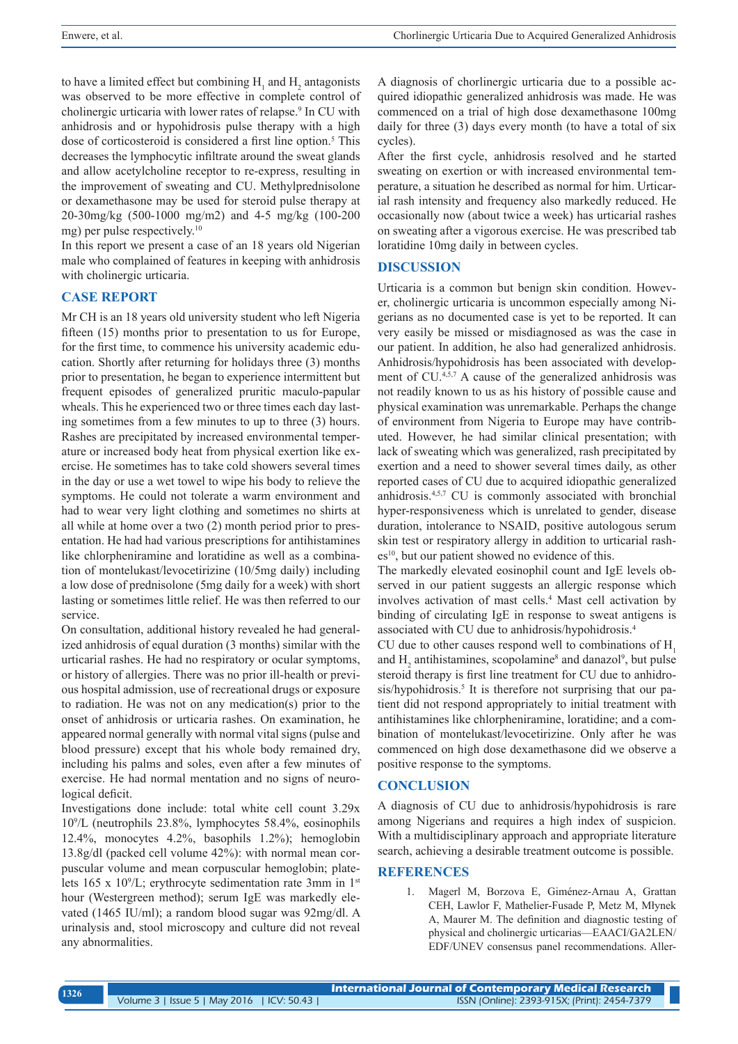to have a limited effect but combining  $H_1$  and  $H_2$  antagonists was observed to be more effective in complete control of cholinergic urticaria with lower rates of relapse.<sup>9</sup> In CU with anhidrosis and or hypohidrosis pulse therapy with a high dose of corticosteroid is considered a first line option.<sup>5</sup> This decreases the lymphocytic infiltrate around the sweat glands and allow acetylcholine receptor to re-express, resulting in the improvement of sweating and CU. Methylprednisolone or dexamethasone may be used for steroid pulse therapy at 20-30mg/kg (500-1000 mg/m2) and 4-5 mg/kg (100-200 mg) per pulse respectively.10

In this report we present a case of an 18 years old Nigerian male who complained of features in keeping with anhidrosis with cholinergic urticaria.

# **CASE REPORT**

Mr CH is an 18 years old university student who left Nigeria fifteen (15) months prior to presentation to us for Europe, for the first time, to commence his university academic education. Shortly after returning for holidays three (3) months prior to presentation, he began to experience intermittent but frequent episodes of generalized pruritic maculo-papular wheals. This he experienced two or three times each day lasting sometimes from a few minutes to up to three (3) hours. Rashes are precipitated by increased environmental temperature or increased body heat from physical exertion like exercise. He sometimes has to take cold showers several times in the day or use a wet towel to wipe his body to relieve the symptoms. He could not tolerate a warm environment and had to wear very light clothing and sometimes no shirts at all while at home over a two (2) month period prior to presentation. He had had various prescriptions for antihistamines like chlorpheniramine and loratidine as well as a combination of montelukast/levocetirizine (10/5mg daily) including a low dose of prednisolone (5mg daily for a week) with short lasting or sometimes little relief. He was then referred to our service.

On consultation, additional history revealed he had generalized anhidrosis of equal duration (3 months) similar with the urticarial rashes. He had no respiratory or ocular symptoms, or history of allergies. There was no prior ill-health or previous hospital admission, use of recreational drugs or exposure to radiation. He was not on any medication(s) prior to the onset of anhidrosis or urticaria rashes. On examination, he appeared normal generally with normal vital signs (pulse and blood pressure) except that his whole body remained dry, including his palms and soles, even after a few minutes of exercise. He had normal mentation and no signs of neurological deficit.

Investigations done include: total white cell count 3.29x 10<sup>9</sup> /L (neutrophils 23.8%, lymphocytes 58.4%, eosinophils 12.4%, monocytes 4.2%, basophils 1.2%); hemoglobin 13.8g/dl (packed cell volume 42%): with normal mean corpuscular volume and mean corpuscular hemoglobin; platelets  $165 \times 10^9$ /L; erythrocyte sedimentation rate 3mm in 1<sup>st</sup> hour (Westergreen method); serum IgE was markedly elevated (1465 IU/ml); a random blood sugar was 92mg/dl. A urinalysis and, stool microscopy and culture did not reveal any abnormalities.

A diagnosis of chorlinergic urticaria due to a possible acquired idiopathic generalized anhidrosis was made. He was commenced on a trial of high dose dexamethasone 100mg daily for three (3) days every month (to have a total of six cycles).

After the first cycle, anhidrosis resolved and he started sweating on exertion or with increased environmental temperature, a situation he described as normal for him. Urticarial rash intensity and frequency also markedly reduced. He occasionally now (about twice a week) has urticarial rashes on sweating after a vigorous exercise. He was prescribed tab loratidine 10mg daily in between cycles.

#### **DISCUSSION**

Urticaria is a common but benign skin condition. However, cholinergic urticaria is uncommon especially among Nigerians as no documented case is yet to be reported. It can very easily be missed or misdiagnosed as was the case in our patient. In addition, he also had generalized anhidrosis. Anhidrosis/hypohidrosis has been associated with development of CU.4,5,7 A cause of the generalized anhidrosis was not readily known to us as his history of possible cause and physical examination was unremarkable. Perhaps the change of environment from Nigeria to Europe may have contributed. However, he had similar clinical presentation; with lack of sweating which was generalized, rash precipitated by exertion and a need to shower several times daily, as other reported cases of CU due to acquired idiopathic generalized anhidrosis.4,5,7 CU is commonly associated with bronchial hyper-responsiveness which is unrelated to gender, disease duration, intolerance to NSAID, positive autologous serum skin test or respiratory allergy in addition to urticarial rash $es<sup>10</sup>$ , but our patient showed no evidence of this.

The markedly elevated eosinophil count and IgE levels observed in our patient suggests an allergic response which involves activation of mast cells.4 Mast cell activation by binding of circulating IgE in response to sweat antigens is associated with CU due to anhidrosis/hypohidrosis.4

CU due to other causes respond well to combinations of H<sub>1</sub> and  $H_2$  antihistamines, scopolamine<sup>8</sup> and danazol<sup>9</sup>, but pulse steroid therapy is first line treatment for CU due to anhidrosis/hypohidrosis.<sup>5</sup> It is therefore not surprising that our patient did not respond appropriately to initial treatment with antihistamines like chlorpheniramine, loratidine; and a combination of montelukast/levocetirizine. Only after he was commenced on high dose dexamethasone did we observe a positive response to the symptoms.

# **CONCLUSION**

A diagnosis of CU due to anhidrosis/hypohidrosis is rare among Nigerians and requires a high index of suspicion. With a multidisciplinary approach and appropriate literature search, achieving a desirable treatment outcome is possible.

# **REFERENCES**

1. Magerl M, Borzova E, Giménez-Arnau A, Grattan CEH, Lawlor F, Mathelier-Fusade P, Metz M, Młynek A, Maurer M. The definition and diagnostic testing of physical and cholinergic urticarias—EAACI/GA2LEN/ EDF/UNEV consensus panel recommendations. Aller